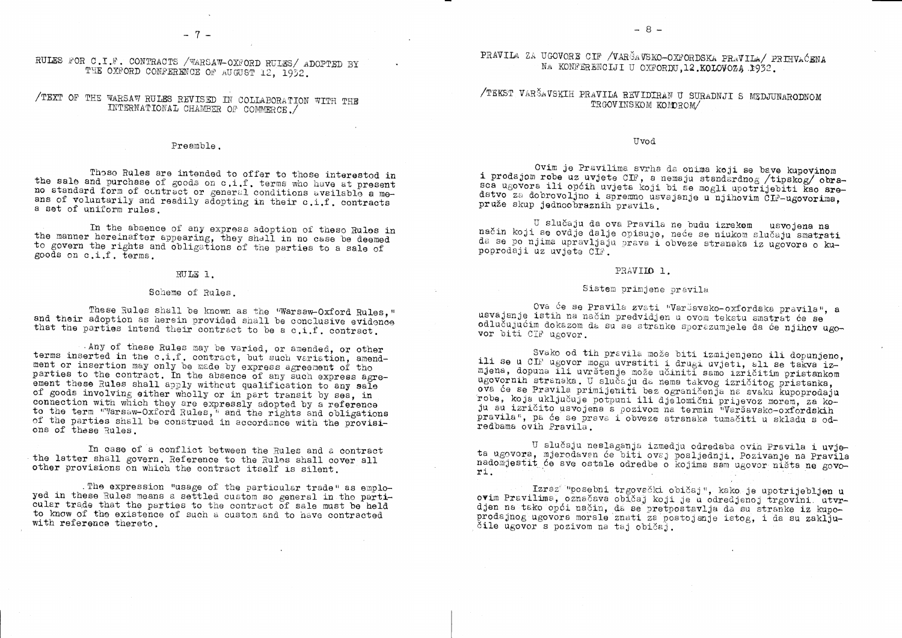RULES FOR C.I.F. CONTRACTS /WARSAW-OXFORD RULES/ ADOPTED BY THE OXFORD CONFERENCE OF AUGUST 12, 1932.

# /TEXT OF THE WARSAW RULES REVISED IN COLLABORATION WITH THE INTERNATIONAL CHAMBER OF COMMERCE./

## Preamble.

Those Rules are intended to offer to those interested in the sale and purchase of goods on c.i.f. terms who have at present no standard form of contract or general conditions available a means of voluntarily and readily adopting in their c.i.f. contracts a set of uniform rules.

In the absence of any express adoption of these Rules in the manner hereinafter appearing, they shall in no case be deemed to govern the rights and obligations of the parties to a sale of goods on c.i.f. terms.

## RULE 1.

### Scheme of Rules.

These Rules shall be known as the "Warsaw-Oxford Rules," and their adoption as herein provided shall be conclusive evidence that the parties intend their contract to be a c.i.f. contract.

Any of these Rules may be varied, or amended, or other terms inserted in the c.i.f. contract, but such variation, amendment or insertion may only be made by express agreement of tho parties to the contract. In the absence of any such express agreement these Rules shall apply without qualification to any sale of goods involving either wholly or in part transit by sea, in connection with which they are expressly adopted by a reference to the term "Varsaw-Oxford Rules," and the rights and obligations of the parties shall be construed in accordance with the provisions of these Rules.

In case of a conflict between the Rules and a contract the latter shall govern. Reference to the Rules shall cover all other provisions on which the contract itself is silent.

. The expression "usage of the particular trade" as employed in these Rules means a settled custom so general in the particular trade that the parties to the contract of sale must be held to know of the existence of such a custom and to have contracted with reference thereto.

PRAVILA ZA UGOVORE CIF / VARŠAVSKO-OXFORDSKA PRAVILA/ PRIHVAĆENA NA KONFERENCIJI U OXFORDU, 12. KOLOVOZĄ 1932.

# /TEKST VARŠAVSKIH PRAVILA REVIDIRAN U SURADNJI S MEDJUNARODNOM TRGOVINSKOM KOMOROM/

### Uvod

Ovim je Pravilima svrha da onima koji se bave kupovinom i prodajom robe uz uvjete CIF, a nemaju standardnog /tipskog/ obrasca ugovora ili općih uvjeta koji bi se mogli upotrijebiti kao sredstvo za dobrovoljno i spremno usvajanje u njihovim ČIF-ugovorima, pruže skup jednoobraznih pravila.

U slučaju da ova Pravila ne budu izrekom usvojena na način koji se ovdje dalje opisuje, neće se niukom slučaju smatrati da se po njima upravljaju prava i obveze stranaka iz ugovora o kupoprodaji uz uvjete CIF.

## PRAVILO 1.

## Sistem primjene pravila

Ova će se Pravila zvati "Varšavsko-oxfordska pravila", a usvajanje istih na način predvidjen u ovom tekstu smatrat će se odlučujućim dokazom da su se stranke sporazumjele da će njihov ugovor biti CIF ugovor.

Svako od tih pravila može biti izmijenjeno ili dopunjeno, ili se u CIF ugovor mogu uvrstiti i drugi uvjeti, ali se takva izmjena, dopuna ili uvrštenje može učiniti samo izričitim pristankom ugovornih stranaka. U slučaju da nema takvog izričitog pristanka. ova će se Pravila primijeniti bez ograničenja na svaku kupoprodaju robe, koja uključuje potpuni ili djelomični prijevoz morem, za koju su izričito usvojena s pozivom na termin "Varšavsko-oxfordskih pravila", pa će se prava i obveze stranaka tumačiti u skladu s odredbama ovih Pravila.

U slučaju neslaganja izmedju određaba ovih Pravila i uvieta ugovora, mjerodavan će biti ovaj posljednji. Pozivanje na Pravila nadomjestit će sve ostale odredbe o kojima sam ugovor ništa ne govori.

Izraz<sup>am</sup>posebni trgovački običaj", kako je upotrijebljen u ovim Pravilima, označava običaj koji je u odredjenoj trgovini utvrdjen na tako opći način, da se pretpostavlja da su stranke iz kupoprodajnog ugovora morale znati za postojanje istog, i da su zaključile ugovor s pozivom na taj običaj.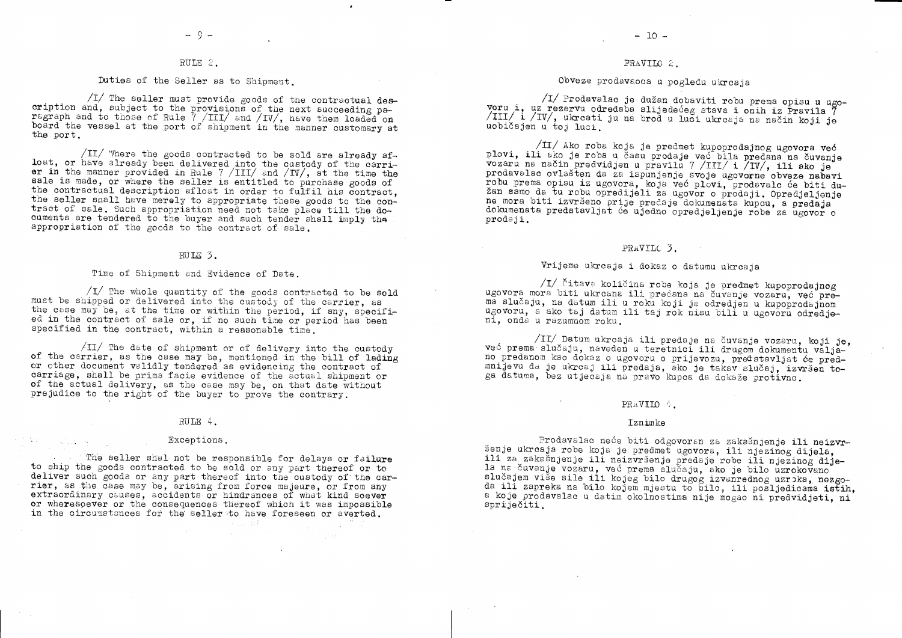## RULE 2.

## Duties of the Seller as to Shipment.

/I/ The seller must provide goods of the contractual description and, subject to the provisions of the next succeeding paragraph and to those of Rule 7 /III/ and /IV/, have them loaded on board the vessel at the port of shipment in the manner customary at the port.

 $\sqrt{11}$  Where the goods contracted to be sold are already afloat, or have already been delivered into the custody of the carrier in the manner provided in Rule  $7 / III/$  and  $/ IV/$ , at the time the sale is made, or where the seller is entitled to purchase goods of the contractual description afloat in order to fulfil his contract. the seller shall have merely to appropriate these goods to the contract of sale. Such appropriation need not take place till the documents are tendered to the buyer and such tender shall imply the appropriation of the goods to the contract of sale.

### RULE 3.

## Time of Shipment and Evidence of Date.

 $\sqrt{I}$  The whole quantity of the goods contracted to be sold must be shipped or delivered into the custody of the carrier, as the case may be, at the time or within the period, if any, specified in the contract of sale or, if no such time or period has been specified in the contract, within a reasonable time.

 $\sqrt{II}$  The date of shipment or of delivery into the custody of the carrier, as the case may be, mentioned in the bill of lading or other document validly tendered as evidencing the contract of carriage, shall be prima facie evidence of the actual shipment or of the actual delivery, as the case may be, on that date without prejudice to the right of the buyer to prove the contrary.

### RULE 4.

### Exceptions.

 $\sim 10^{10}$ 

 $\mathcal{F}^{\text{max}}_{\text{max}}$ 

 $\mathcal{L} = \frac{1}{2} \sum_{i=1}^n \frac{1}{2} \sum_{j=1}^n \frac{1}{2} \sum_{j=1}^n \frac{1}{2} \sum_{j=1}^n \frac{1}{2} \sum_{j=1}^n \frac{1}{2} \sum_{j=1}^n \frac{1}{2} \sum_{j=1}^n \frac{1}{2} \sum_{j=1}^n \frac{1}{2} \sum_{j=1}^n \frac{1}{2} \sum_{j=1}^n \frac{1}{2} \sum_{j=1}^n \frac{1}{2} \sum_{j=1}^n \frac{1}{2} \sum_{j=1}^n \frac{1}{$ 

The seller shal not be responsible for delays or failure to ship the goods contracted to be sold or any part thereof or to deliver such goods or any part thereof into the custody of the carrier, as the case may be, arising from force majeure, or from any extraordinary causes. accidents or hindrances of what kind soever or wheresoever or the consequences thereof which it was impossible in the circumstances for the seller to have foreseen or averted.

一个, 一般

 $\alpha$  -  $\eta$  ,  $\alpha$ 

## PRAVILO 2.

## Obveze prodavaoca u pogledu ukrcaja

/I/ Prodavalac je dužan dobaviti robu prema opisu u ugovoru i, uz rezervu odredaba slijedećeg stava i onih iz Pravila 7 /III/ i /IV/, ukreati ju na brod u luci ukreaja na način koji je uobičajen u toj luci.

/II/ Ako roba koja je predmet kupoprodajnog ugovora već plovi, ili ako je roba u času prodaje već bila predana na čuvanje vozaru na način predvidjen u pravilu 7 /III/ i /IV/, ili ako je prodavalac ovlašten da za ispunjenje svoje ugovorne obveze nabavi robu prema opisu iz ugovora, koja već plovi, prodavalc će biti dužan samo da tu robu opredijeli za ugovor o prodaji. Opredjeljenje ne mora biti izvršeno prije predaje dokumenata kupcu, a predaja dokumenata predstavljat će ujedno opredjeljenje robe za ugovor o prodaji.

## PRAVILC 3.

## Vrijeme ukrcaja i dokaz o datumu ukrcaja

/I/ Čitava količina robe koja je predmet kupoprodajnog ugovora mora biti ukrcana ili predana na čuvanje vozaru, već prema slučaju, na datum ili u roku koji je odredjen u kupoprodajnom ugovoru, a ako taj datum ili taj rok nisu bili u ugovoru odredjeni, onda u razumnom roku.

/II/ Datum ukrcaja ili predaje na čuvanje vozaru, koji je, već prema slučaju, naveden u teretnici ili drugom dokumentu valjano predanom kao dokaz o ugovoru o prijevozu, predstavljat će predmnijevu da je ukrcaj ili predaja, ako je takav slučaj, izvršen toga datuma, bez utjecaja na pravo kupca da dokaže protivno.

## PRAVIIO 4.

### Iznimke

Prodavalac neće biti odgovoran za zakašnjenje ili neizvršenje ukrcaja robe koja je predmet ugovora, ili njezinog dijela, ili za zakašnjenje ili neizvršenje predaje robe ili njezinog dijela na čuvanje vozaru, već prema slučaju, ako je bilo uzrokovano slučajem više sile ili kojeg bilo drugog izvanrednog uzroka, nezgoda ili zapreka na bilo kojem mjestu to bilo, ili posljedicama istih, a koje prodavalac u datim okolnostima nije mogao ni predvidjeti, ni spriječiti.